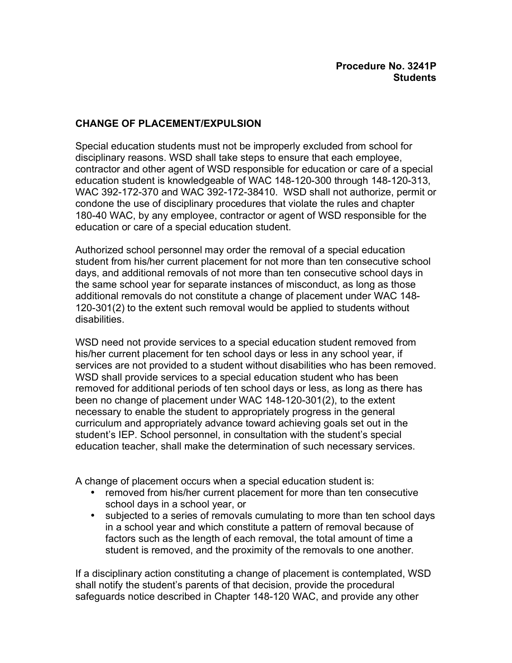## **CHANGE OF PLACEMENT/EXPULSION**

Special education students must not be improperly excluded from school for disciplinary reasons. WSD shall take steps to ensure that each employee, contractor and other agent of WSD responsible for education or care of a special education student is knowledgeable of WAC 148-120-300 through 148-120-313, WAC 392-172-370 and WAC 392-172-38410. WSD shall not authorize, permit or condone the use of disciplinary procedures that violate the rules and chapter 180-40 WAC, by any employee, contractor or agent of WSD responsible for the education or care of a special education student.

Authorized school personnel may order the removal of a special education student from his/her current placement for not more than ten consecutive school days, and additional removals of not more than ten consecutive school days in the same school year for separate instances of misconduct, as long as those additional removals do not constitute a change of placement under WAC 148- 120-301(2) to the extent such removal would be applied to students without disabilities.

WSD need not provide services to a special education student removed from his/her current placement for ten school days or less in any school year, if services are not provided to a student without disabilities who has been removed. WSD shall provide services to a special education student who has been removed for additional periods of ten school days or less, as long as there has been no change of placement under WAC 148-120-301(2), to the extent necessary to enable the student to appropriately progress in the general curriculum and appropriately advance toward achieving goals set out in the student's IEP. School personnel, in consultation with the student's special education teacher, shall make the determination of such necessary services.

A change of placement occurs when a special education student is: removed from his/her current placement for more than ten consecutive school days in a school year, or subjected to a series of removals cumulating to more than ten school days in a school year and which constitute a pattern of removal because of factors such as the length of each removal, the total amount of time a student is removed, and the proximity of the removals to one another.

If a disciplinary action constituting a change of placement is contemplated, WSD shall notify the student's parents of that decision, provide the procedural safeguards notice described in Chapter 148-120 WAC, and provide any other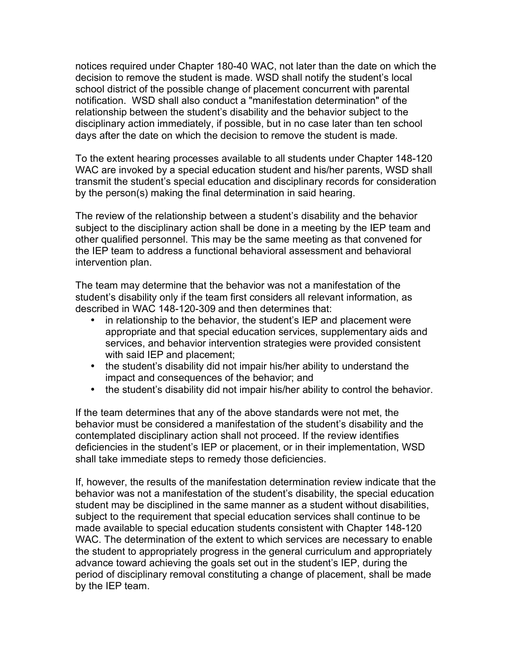notices required under Chapter 180-40 WAC, not later than the date on which the decision to remove the student is made. WSD shall notify the student's local school district of the possible change of placement concurrent with parental notification. WSD shall also conduct a "manifestation determination" of the relationship between the student's disability and the behavior subject to the disciplinary action immediately, if possible, but in no case later than ten school days after the date on which the decision to remove the student is made.

To the extent hearing processes available to all students under Chapter 148-120 WAC are invoked by a special education student and his/her parents, WSD shall transmit the student's special education and disciplinary records for consideration by the person(s) making the final determination in said hearing.

The review of the relationship between a student's disability and the behavior subject to the disciplinary action shall be done in a meeting by the IEP team and other qualified personnel. This may be the same meeting as that convened for the IEP team to address a functional behavioral assessment and behavioral intervention plan.

The team may determine that the behavior was not a manifestation of the student's disability only if the team first considers all relevant information, as described in WAC 148-120-309 and then determines that:

in relationship to the behavior, the student's IEP and placement were appropriate and that special education services, supplementary aids and services, and behavior intervention strategies were provided consistent with said IEP and placement;

the student's disability did not impair his/her ability to understand the impact and consequences of the behavior; and

the student's disability did not impair his/her ability to control the behavior.

If the team determines that any of the above standards were not met, the behavior must be considered a manifestation of the student's disability and the contemplated disciplinary action shall not proceed. If the review identifies deficiencies in the student's IEP or placement, or in their implementation, WSD shall take immediate steps to remedy those deficiencies.

If, however, the results of the manifestation determination review indicate that the behavior was not a manifestation of the student's disability, the special education student may be disciplined in the same manner as a student without disabilities, subject to the requirement that special education services shall continue to be made available to special education students consistent with Chapter 148-120 WAC. The determination of the extent to which services are necessary to enable the student to appropriately progress in the general curriculum and appropriately advance toward achieving the goals set out in the student's IEP, during the period of disciplinary removal constituting a change of placement, shall be made by the IEP team.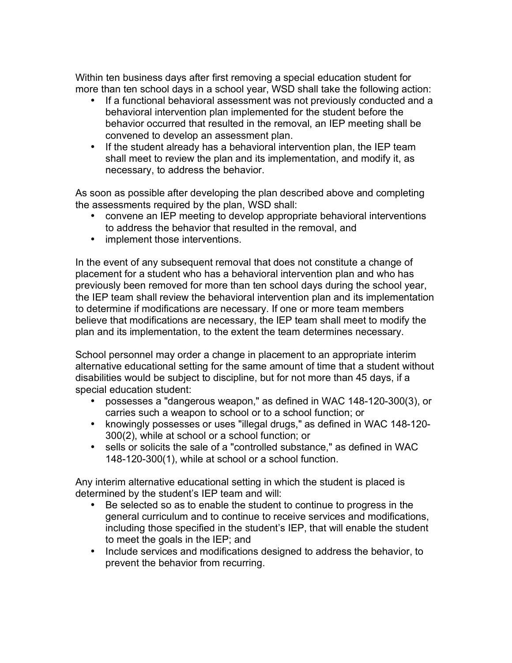Within ten business days after first removing a special education student for more than ten school days in a school year, WSD shall take the following action:

If a functional behavioral assessment was not previously conducted and a behavioral intervention plan implemented for the student before the behavior occurred that resulted in the removal, an IEP meeting shall be convened to develop an assessment plan.

If the student already has a behavioral intervention plan, the IEP team shall meet to review the plan and its implementation, and modify it, as necessary, to address the behavior.

As soon as possible after developing the plan described above and completing the assessments required by the plan, WSD shall:

convene an IEP meeting to develop appropriate behavioral interventions to address the behavior that resulted in the removal, and implement those interventions.

In the event of any subsequent removal that does not constitute a change of placement for a student who has a behavioral intervention plan and who has previously been removed for more than ten school days during the school year, the IEP team shall review the behavioral intervention plan and its implementation to determine if modifications are necessary. If one or more team members believe that modifications are necessary, the IEP team shall meet to modify the plan and its implementation, to the extent the team determines necessary.

School personnel may order a change in placement to an appropriate interim alternative educational setting for the same amount of time that a student without disabilities would be subject to discipline, but for not more than 45 days, if a special education student:

possesses a "dangerous weapon," as defined in WAC 148-120-300(3), or carries such a weapon to school or to a school function; or knowingly possesses or uses "illegal drugs," as defined in WAC 148-120- 300(2), while at school or a school function; or

sells or solicits the sale of a "controlled substance," as defined in WAC 148-120-300(1), while at school or a school function.

Any interim alternative educational setting in which the student is placed is determined by the student's IEP team and will:

Be selected so as to enable the student to continue to progress in the general curriculum and to continue to receive services and modifications, including those specified in the student's IEP, that will enable the student to meet the goals in the IEP; and

Include services and modifications designed to address the behavior, to prevent the behavior from recurring.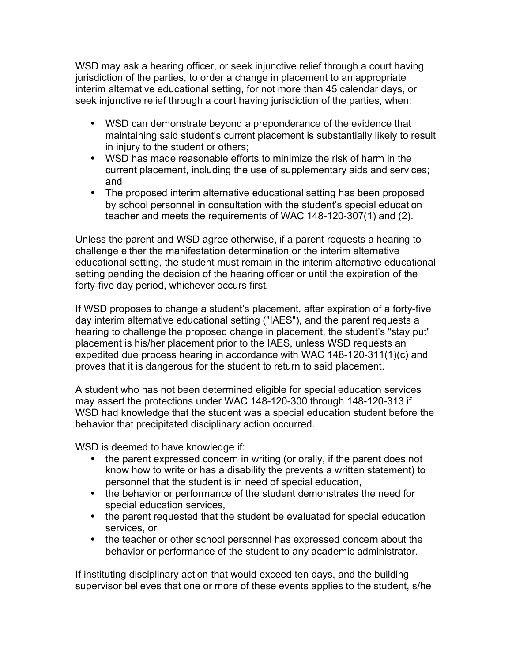WSD may ask a hearing officer, or seek injunctive relief through a court having jurisdiction of the parties, to order a change in placement to an appropriate interim alternative educational setting, for not more than 45 calendar days, or seek injunctive relief through a court having jurisdiction of the parties, when:

WSD can demonstrate beyond a preponderance of the evidence that maintaining said student's current placement is substantially likely to result in injury to the student or others;

WSD has made reasonable efforts to minimize the risk of harm in the current placement, including the use of supplementary aids and services; and

The proposed interim alternative educational setting has been proposed by school personnel in consultation with the student's special education teacher and meets the requirements of WAC 148-120-307(1) and (2).

Unless the parent and WSD agree otherwise, if a parent requests a hearing to challenge either the manifestation determination or the interim alternative educational setting, the student must remain in the interim alternative educational setting pending the decision of the hearing officer or until the expiration of the forty-five day period, whichever occurs first.

If WSD proposes to change a student's placement, after expiration of a forty-five day interim alternative educational setting ("IAES"), and the parent requests a hearing to challenge the proposed change in placement, the student's "stay put" placement is his/her placement prior to the IAES, unless WSD requests an expedited due process hearing in accordance with WAC 148-120-311(1)(c) and proves that it is dangerous for the student to return to said placement.

A student who has not been determined eligible for special education services may assert the protections under WAC 148-120-300 through 148-120-313 if WSD had knowledge that the student was a special education student before the behavior that precipitated disciplinary action occurred.

WSD is deemed to have knowledge if:

the parent expressed concern in writing (or orally, if the parent does not know how to write or has a disability the prevents a written statement) to personnel that the student is in need of special education,

the behavior or performance of the student demonstrates the need for special education services,

the parent requested that the student be evaluated for special education services, or

the teacher or other school personnel has expressed concern about the behavior or performance of the student to any academic administrator.

If instituting disciplinary action that would exceed ten days, and the building supervisor believes that one or more of these events applies to the student, s/he